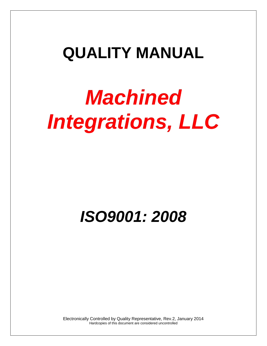## **QUALITY MANUAL**

# *Machined Integrations, LLC*

## *ISO9001: 2008*

Electronically Controlled by Quality Representative, Rev.2, January 2014 Hardcopies of this document are considered uncontrolled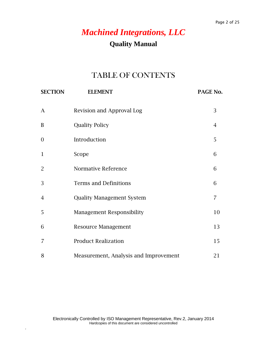### *Machined Integrations, LLC* **Quality Manual**

### TABLE OF CONTENTS

| <b>SECTION</b>   | <b>ELEMENT</b>                        | PAGE No.       |
|------------------|---------------------------------------|----------------|
| $\mathbf{A}$     | Revision and Approval Log             | 3              |
| $\bf{B}$         | <b>Quality Policy</b>                 | $\overline{4}$ |
| $\boldsymbol{0}$ | Introduction                          | 5              |
| $\mathbf{1}$     | Scope                                 | 6              |
| $\overline{2}$   | Normative Reference                   | 6              |
| 3                | <b>Terms and Definitions</b>          | 6              |
| $\overline{4}$   | <b>Quality Management System</b>      | 7              |
| 5                | <b>Management Responsibility</b>      | 10             |
| 6                | <b>Resource Management</b>            | 13             |
| $\overline{7}$   | <b>Product Realization</b>            | 15             |
| 8                | Measurement, Analysis and Improvement | 21             |

.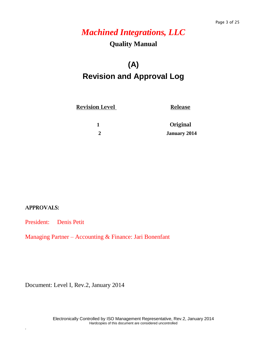#### **Quality Manual**

### **(A) Revision and Approval Log**

**Revision Level** Release

 **1 Original 2 January 2014**

#### **APPROVALS:**

.

President: Denis Petit

Managing Partner – Accounting & Finance: Jari Bonenfant

Document: Level I, Rev.2, January 2014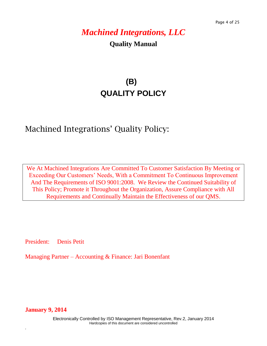**Quality Manual**

### **(B) QUALITY POLICY**

### Machined Integrations' Quality Policy:

We At Machined Integrations Are Committed To Customer Satisfaction By Meeting or Exceeding Our Customers' Needs, With a Commitment To Continuous Improvement And The Requirements of ISO 9001:2008.We Review the Continued Suitability of This Policy; Promote it Throughout the Organization, Assure Compliance with All Requirements and Continually Maintain the Effectiveness of our QMS.

President: Denis Petit

Managing Partner – Accounting & Finance: Jari Bonenfant

**January 9, 2014**

.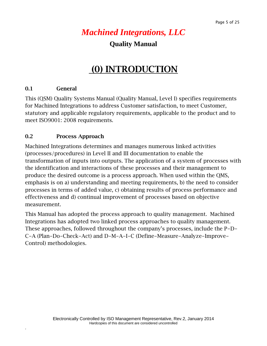**Quality Manual**

### **(0) INTRODUCTION**

#### **0.1 General**

.

This (QSM) Quality Systems Manual (Quality Manual, Level I) specifies requirements for Machined Integrations to address Customer satisfaction, to meet Customer, statutory and applicable regulatory requirements, applicable to the product and to meet ISO9001: 2008 requirements.

#### **0.2 Process Approach**

Machined Integrations determines and manages numerous linked activities (processes/procedures) in Level II and III documentation to enable the transformation of inputs into outputs. The application of a system of processes with the identification and interactions of these processes and their management to produce the desired outcome is a process approach. When used within the QMS, emphasis is on a) understanding and meeting requirements, b) the need to consider processes in terms of added value, c) obtaining results of process performance and effectiveness and d) continual improvement of processes based on objective measurement.

This Manual has adopted the process approach to quality management. Machined Integrations has adopted two linked process approaches to quality management. These approaches, followed throughout the company's processes, include the P-D-C-A (Plan-Do-Check-Act) and D-M-A-I-C (Define-Measure-Analyze-Improve-Control) methodologies.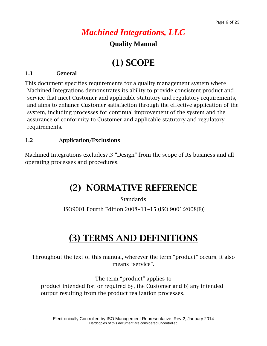#### **Quality Manual**

### **(1) SCOPE**

#### **1.1 General**

.

This document specifies requirements for a quality management system where Machined Integrations demonstrates its ability to provide consistent product and service that meet Customer and applicable statutory and regulatory requirements, and aims to enhance Customer satisfaction through the effective application of the system, including processes for continual improvement of the system and the assurance of conformity to Customer and applicable statutory and regulatory requirements.

#### **1.2 Application/Exclusions**

Machined Integrations excludes7.3 "Design" from the scope of its business and all operating processes and procedures.

### **(2) NORMATIVE REFERENCE**

**Standards** 

ISO9001 Fourth Edition 2008-11-15 (ISO 9001:2008(E))

### **(3) TERMS AND DEFINITIONS**

Throughout the text of this manual, wherever the term "product" occurs, it also means "service".

The term "product" applies to product intended for, or required by, the Customer and b) any intended output resulting from the product realization processes.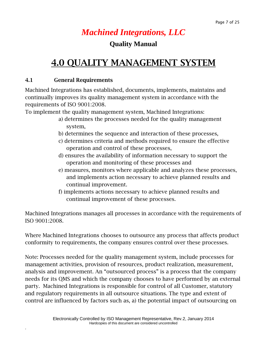#### **Quality Manual**

### **4.0 QUALITY MANAGEMENT SYSTEM**

#### **4.1 General Requirements**

.

Machined Integrations has established, documents, implements, maintains and continually improves its quality management system in accordance with the requirements of ISO 9001:2008.

To implement the quality management system, Machined Integrations:

- a) determines the processes needed for the quality management system,
- b) determines the sequence and interaction of these processes,
- c) determines criteria and methods required to ensure the effective operation and control of these processes,
- d) ensures the availability of information necessary to support the operation and monitoring of these processes and
- e) measures, monitors where applicable and analyzes these processes, and implements action necessary to achieve planned results and continual improvement.
- f) implements actions necessary to achieve planned results and continual improvement of these processes.

Machined Integrations manages all processes in accordance with the requirements of ISO 9001:2008.

Where Machined Integrations chooses to outsource any process that affects product conformity to requirements, the company ensures control over these processes.

Note: Processes needed for the quality management system, include processes for management activities, provision of resources, product realization, measurement, analysis and improvement. An "outsourced process" is a process that the company needs for its QMS and which the company chooses to have performed by an external party. Machined Integrations is responsible for control of all Customer, statutory and regulatory requirements in all outsource situations. The type and extent of control are influenced by factors such as, a) the potential impact of outsourcing on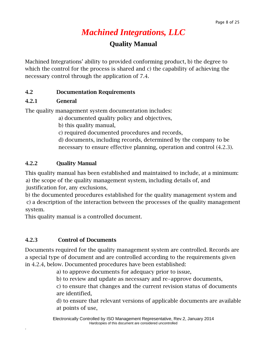#### **Quality Manual**

Machined Integrations' ability to provided conforming product, b) the degree to which the control for the process is shared and c) the capability of achieving the necessary control through the application of 7.4.

#### **4.2 Documentation Requirements**

#### **4.2.1 General**

The quality management system documentation includes:

a) documented quality policy and objectives,

- b) this quality manual,
- c) required documented procedures and records,
- d) documents, including records, determined by the company to be necessary to ensure effective planning, operation and control (4.2.3).

#### **4.2.2 Quality Manual**

This quality manual has been established and maintained to include, at a minimum: a) the scope of the quality management system, including details of, and justification for, any exclusions,

b) the documented procedures established for the quality management system and c) a description of the interaction between the processes of the quality management system.

This quality manual is a controlled document.

#### **4.2.3 Control of Documents**

.

Documents required for the quality management system are controlled. Records are a special type of document and are controlled according to the requirements given in 4.2.4, below. Documented procedures have been established:

a) to approve documents for adequacy prior to issue,

b) to review and update as necessary and re-approve documents,

c) to ensure that changes and the current revision status of documents are identified,

d) to ensure that relevant versions of applicable documents are available at points of use,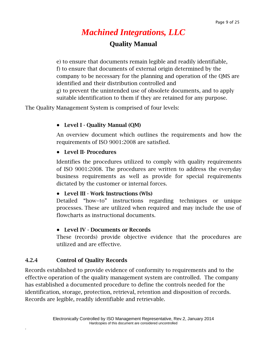### *Machined Integrations, LLC* **Quality Manual**

e) to ensure that documents remain legible and readily identifiable, f) to ensure that documents of external origin determined by the company to be necessary for the planning and operation of the QMS are identified and their distribution controlled and g) to prevent the unintended use of obsolete documents, and to apply suitable identification to them if they are retained for any purpose.

The Quality Management System is comprised of four levels:

#### • **Level I - Quality Manual (QM)**

An overview document which outlines the requirements and how the requirements of ISO 9001:2008 are satisfied.

#### • **Level II- Procedures**

Identifies the procedures utilized to comply with quality requirements of ISO 9001:2008. The procedures are written to address the everyday business requirements as well as provide for special requirements dictated by the customer or internal forces.

#### • **Level III - Work Instructions (WIs)**

Detailed "how-to" instructions regarding techniques or unique processes. These are utilized when required and may include the use of flowcharts as instructional documents.

#### • **Level IV - Documents or Records**

These (records) provide objective evidence that the procedures are utilized and are effective.

#### **4.2.4 Control of Quality Records**

.

Records established to provide evidence of conformity to requirements and to the effective operation of the quality management system are controlled. The company has established a documented procedure to define the controls needed for the identification, storage, protection, retrieval, retention and disposition of records. Records are legible, readily identifiable and retrievable.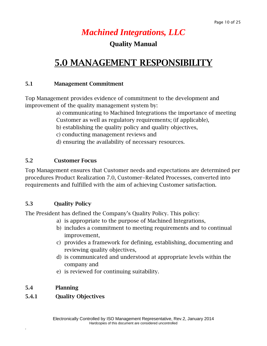#### **Quality Manual**

### **5.0 MANAGEMENT RESPONSIBILITY**

#### **5.1 Management Commitment**

Top Management provides evidence of commitment to the development and improvement of the quality management system by:

> a) communicating to Machined Integrations the importance of meeting Customer as well as regulatory requirements; (if applicable),

- b) establishing the quality policy and quality objectives,
- c) conducting management reviews and
- d) ensuring the availability of necessary resources.

#### **5.2 Customer Focus**

Top Management ensures that Customer needs and expectations are determined per procedures Product Realization 7.0, Customer-Related Processes, converted into requirements and fulfilled with the aim of achieving Customer satisfaction.

#### **5.3 Quality Policy**

The President has defined the Company's Quality Policy. This policy:

- a) is appropriate to the purpose of Machined Integrations,
- b) includes a commitment to meeting requirements and to continual improvement,
- c) provides a framework for defining, establishing, documenting and reviewing quality objectives,
- d) is communicated and understood at appropriate levels within the company and
- e) is reviewed for continuing suitability.

#### **5.4 Planning**

.

#### **5.4.1 Quality Objectives**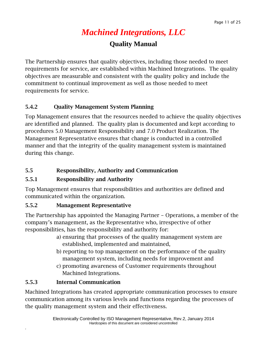#### **Quality Manual**

The Partnership ensures that quality objectives, including those needed to meet requirements for service, are established within Machined Integrations. The quality objectives are measurable and consistent with the quality policy and include the commitment to continual improvement as well as those needed to meet requirements for service.

#### **5.4.2 Quality Management System Planning**

Top Management ensures that the resources needed to achieve the quality objectives are identified and planned. The quality plan is documented and kept according to procedures 5.0 Management Responsibility and 7.0 Product Realization. The Management Representative ensures that change is conducted in a controlled manner and that the integrity of the quality management system is maintained during this change.

#### **5.5 Responsibility, Authority and Communication**

#### **5.5.1 Responsibility and Authority**

Top Management ensures that responsibilities and authorities are defined and communicated within the organization.

#### **5.5.2 Management Representative**

The Partnership has appointed the Managing Partner - Operations, a member of the company's management, as the Representative who, irrespective of other responsibilities, has the responsibility and authority for:

- a) ensuring that processes of the quality management system are established, implemented and maintained,
- b) reporting to top management on the performance of the quality management system, including needs for improvement and
- c) promoting awareness of Customer requirements throughout Machined Integrations.

#### **5.5.3 Internal Communication**

.

Machined Integrations has created appropriate communication processes to ensure communication among its various levels and functions regarding the processes of the quality management system and their effectiveness.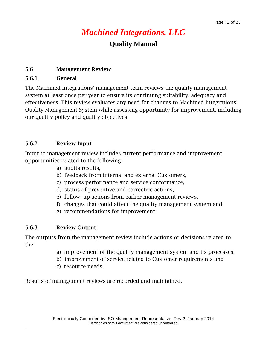#### **Quality Manual**

#### **5.6 Management Review**

#### **5.6.1 General**

The Machined Integrations' management team reviews the quality management system at least once per year to ensure its continuing suitability, adequacy and effectiveness. This review evaluates any need for changes to Machined Integrations' Quality Management System while assessing opportunity for improvement, including our quality policy and quality objectives.

#### **5.6.2 Review Input**

Input to management review includes current performance and improvement opportunities related to the following:

- a) audits results,
- b) feedback from internal and external Customers,
- c) process performance and service conformance,
- d) status of preventive and corrective actions,
- e) follow-up actions from earlier management reviews,
- f) changes that could affect the quality management system and
- g) recommendations for improvement

#### **5.6.3 Review Output**

.

The outputs from the management review include actions or decisions related to the:

- a) improvement of the quality management system and its processes,
- b) improvement of service related to Customer requirements and
- c) resource needs.

Results of management reviews are recorded and maintained.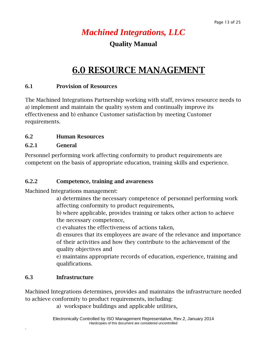#### **Quality Manual**

### **6.0 RESOURCE MANAGEMENT**

#### **6.1 Provision of Resources**

The Machined Integrations Partnership working with staff, reviews resource needs to a) implement and maintain the quality system and continually improve its effectiveness and b) enhance Customer satisfaction by meeting Customer requirements.

#### **6.2 Human Resources**

#### **6.2.1 General**

Personnel performing work affecting conformity to product requirements are competent on the basis of appropriate education, training skills and experience.

#### **6.2.2 Competence, training and awareness**

Machined Integrations management:

a) determines the necessary competence of personnel performing work affecting conformity to product requirements,

b) where applicable, provides training or takes other action to achieve the necessary competence,

c) evaluates the effectiveness of actions taken,

d) ensures that its employees are aware of the relevance and importance of their activities and how they contribute to the achievement of the quality objectives and

e) maintains appropriate records of education, experience, training and qualifications.

#### **6.3 Infrastructure**

.

Machined Integrations determines, provides and maintains the infrastructure needed to achieve conformity to product requirements, including:

a) workspace buildings and applicable utilities,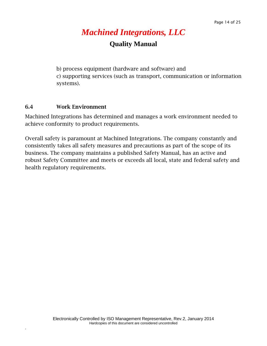#### **Quality Manual**

b) process equipment (hardware and software) and c) supporting services (such as transport, communication or information systems).

#### **6.4 Work Environment**

.

Machined Integrations has determined and manages a work environment needed to achieve conformity to product requirements.

Overall safety is paramount at Machined Integrations. The company constantly and consistently takes all safety measures and precautions as part of the scope of its business. The company maintains a published Safety Manual, has an active and robust Safety Committee and meets or exceeds all local, state and federal safety and health regulatory requirements.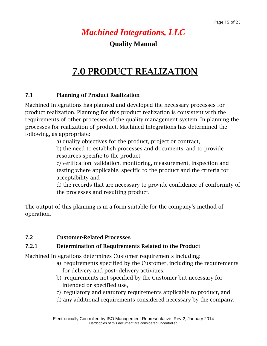#### **Quality Manual**

### **7.0 PRODUCT REALIZATION**

#### **7.1 Planning of Product Realization**

Machined Integrations has planned and developed the necessary processes for product realization. Planning for this product realization is consistent with the requirements of other processes of the quality management system. In planning the processes for realization of product, Machined Integrations has determined the following, as appropriate:

a) quality objectives for the product, project or contract,

b) the need to establish processes and documents, and to provide resources specific to the product,

c) verification, validation, monitoring, measurement, inspection and testing where applicable, specific to the product and the criteria for acceptability and

d) the records that are necessary to provide confidence of conformity of the processes and resulting product.

The output of this planning is in a form suitable for the company's method of operation.

#### **7.2 Customer-Related Processes**

.

#### **7.2.1 Determination of Requirements Related to the Product**

Machined Integrations determines Customer requirements including:

- a) requirements specified by the Customer, including the requirements for delivery and post-delivery activities,
- b) requirements not specified by the Customer but necessary for intended or specified use,
- c) regulatory and statutory requirements applicable to product, and
- d) any additional requirements considered necessary by the company.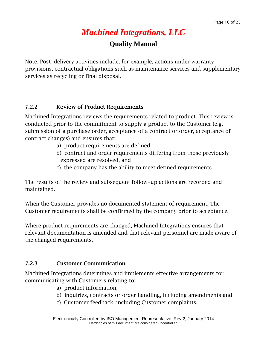#### **Quality Manual**

Note: Post-delivery activities include, for example, actions under warranty provisions, contractual obligations such as maintenance services and supplementary services as recycling or final disposal.

#### **7.2.2 Review of Product Requirements**

Machined Integrations reviews the requirements related to product. This review is conducted prior to the commitment to supply a product to the Customer (e.g. submission of a purchase order, acceptance of a contract or order, acceptance of contract changes) and ensures that:

- a) product requirements are defined,
- b) contract and order requirements differing from those previously expressed are resolved, and
- c) the company has the ability to meet defined requirements.

The results of the review and subsequent follow-up actions are recorded and maintained.

When the Customer provides no documented statement of requirement, The Customer requirements shall be confirmed by the company prior to acceptance.

Where product requirements are changed, Machined Integrations ensures that relevant documentation is amended and that relevant personnel are made aware of the changed requirements.

#### **7.2.3 Customer Communication**

.

Machined Integrations determines and implements effective arrangements for communicating with Customers relating to:

- a) product information,
- b) inquiries, contracts or order handling, including amendments and
- c) Customer feedback, including Customer complaints.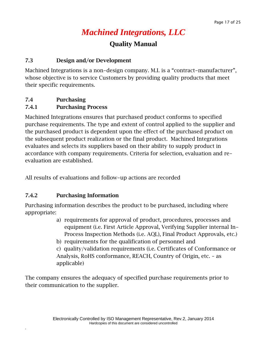#### **Quality Manual**

#### **7.3 Design and/or Development**

Machined Integrations is a non-design company. M.I. is a "contract-manufacturer", whose objective is to service Customers by providing quality products that meet their specific requirements.

#### **7.4 Purchasing**

#### **7.4.1 Purchasing Process**

Machined Integrations ensures that purchased product conforms to specified purchase requirements. The type and extent of control applied to the supplier and the purchased product is dependent upon the effect of the purchased product on the subsequent product realization or the final product. Machined Integrations evaluates and selects its suppliers based on their ability to supply product in accordance with company requirements. Criteria for selection, evaluation and reevaluation are established.

All results of evaluations and follow-up actions are recorded

#### **7.4.2 Purchasing Information**

.

Purchasing information describes the product to be purchased, including where appropriate:

- a) requirements for approval of product, procedures, processes and equipment (i.e. First Article Approval, Verifying Supplier internal In-Process Inspection Methods (i.e. AQL), Final Product Approvals, etc.)
- b) requirements for the qualification of personnel and

c) quality/validation requirements (i.e. Certificates of Conformance or Analysis, RoHS conformance, REACH, Country of Origin, etc. – as applicable)

The company ensures the adequacy of specified purchase requirements prior to their communication to the supplier.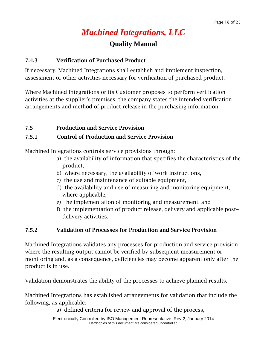#### **Quality Manual**

#### **7.4.3 Verification of Purchased Product**

If necessary, Machined Integrations shall establish and implement inspection, assessment or other activities necessary for verification of purchased product.

Where Machined Integrations or its Customer proposes to perform verification activities at the supplier's premises, the company states the intended verification arrangements and method of product release in the purchasing information.

#### **7.5 Production and Service Provision**

.

#### **7.5.1 Control of Production and Service Provision**

Machined Integrations controls service provisions through:

- a) the availability of information that specifies the characteristics of the product,
- b) where necessary, the availability of work instructions,
- c) the use and maintenance of suitable equipment,
- d) the availability and use of measuring and monitoring equipment, where applicable,
- e) the implementation of monitoring and measurement, and
- f) the implementation of product release, delivery and applicable postdelivery activities.

#### **7.5.2 Validation of Processes for Production and Service Provision**

Machined Integrations validates any processes for production and service provision where the resulting output cannot be verified by subsequent measurement or monitoring and, as a consequence, deficiencies may become apparent only after the product is in use.

Validation demonstrates the ability of the processes to achieve planned results.

Machined Integrations has established arrangements for validation that include the following, as applicable:

a) defined criteria for review and approval of the process,

Electronically Controlled by ISO Management Representative, Rev.2, January 2014 Hardcopies of this document are considered uncontrolled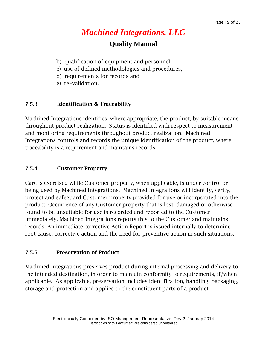#### **Quality Manual**

- b) qualification of equipment and personnel,
- c) use of defined methodologies and procedures,
- d) requirements for records and
- e) re-validation.

#### **7.5.3 Identification & Traceability**

Machined Integrations identifies, where appropriate, the product, by suitable means throughout product realization. Status is identified with respect to measurement and monitoring requirements throughout product realization. Machined Integrations controls and records the unique identification of the product, where traceability is a requirement and maintains records.

#### **7.5.4 Customer Property**

Care is exercised while Customer property, when applicable, is under control or being used by Machined Integrations. Machined Integrations will identify, verify, protect and safeguard Customer property provided for use or incorporated into the product. Occurrence of any Customer property that is lost, damaged or otherwise found to be unsuitable for use is recorded and reported to the Customer immediately. Machined Integrations reports this to the Customer and maintains records. An immediate corrective Action Report is issued internally to determine root cause, corrective action and the need for preventive action in such situations.

#### **7.5.5 Preservation of Product**

.

Machined Integrations preserves product during internal processing and delivery to the intended destination, in order to maintain conformity to requirements, if/when applicable. As applicable, preservation includes identification, handling, packaging, storage and protection and applies to the constituent parts of a product.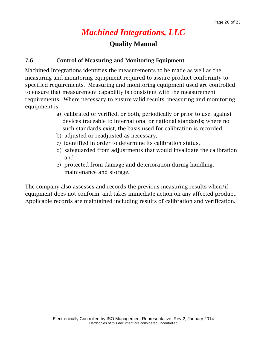#### **Quality Manual**

#### **7.6 Control of Measuring and Monitoring Equipment**

Machined Integrations identifies the measurements to be made as well as the measuring and monitoring equipment required to assure product conformity to specified requirements. Measuring and monitoring equipment used are controlled to ensure that measurement capability is consistent with the measurement requirements. Where necessary to ensure valid results, measuring and monitoring equipment is:

- a) calibrated or verified, or both, periodically or prior to use, against devices traceable to international or national standards; where no such standards exist, the basis used for calibration is recorded,
- b) adjusted or readjusted as necessary,
- c) identified in order to determine its calibration status,
- d) safeguarded from adjustments that would invalidate the calibration and
- e) protected from damage and deterioration during handling, maintenance and storage.

The company also assesses and records the previous measuring results when/if equipment does not conform, and takes immediate action on any affected product. Applicable records are maintained including results of calibration and verification.

.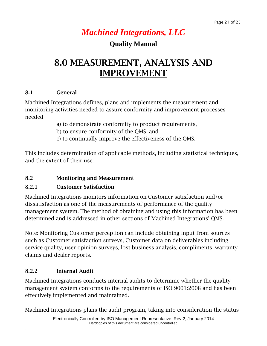#### **Quality Manual**

### **8.0 MEASUREMENT, ANALYSIS AND IMPROVEMENT**

#### **8.1 General**

Machined Integrations defines, plans and implements the measurement and monitoring activities needed to assure conformity and improvement processes needed

- a) to demonstrate conformity to product requirements,
- b) to ensure conformity of the QMS, and
- c) to continually improve the effectiveness of the QMS.

This includes determination of applicable methods, including statistical techniques, and the extent of their use.

#### **8.2 Monitoring and Measurement**

#### **8.2.1 Customer Satisfaction**

Machined Integrations monitors information on Customer satisfaction and/or dissatisfaction as one of the measurements of performance of the quality management system. The method of obtaining and using this information has been determined and is addressed in other sections of Machined Integrations' QMS.

Note: Monitoring Customer perception can include obtaining input from sources such as Customer satisfaction surveys, Customer data on deliverables including service quality, user opinion surveys, lost business analysis, compliments, warranty claims and dealer reports.

#### **8.2.2 Internal Audit**

.

Machined Integrations conducts internal audits to determine whether the quality management system conforms to the requirements of ISO 9001:2008 and has been effectively implemented and maintained.

Machined Integrations plans the audit program, taking into consideration the status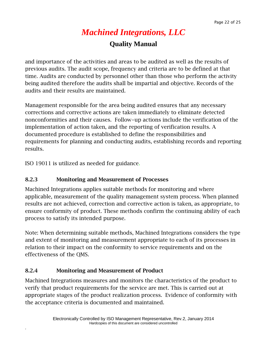### *Machined Integrations, LLC* **Quality Manual**

and importance of the activities and areas to be audited as well as the results of previous audits. The audit scope, frequency and criteria are to be defined at that time. Audits are conducted by personnel other than those who perform the activity being audited therefore the audits shall be impartial and objective. Records of the audits and their results are maintained.

Management responsible for the area being audited ensures that any necessary corrections and corrective actions are taken immediately to eliminate detected nonconformities and their causes. Follow-up actions include the verification of the implementation of action taken, and the reporting of verification results. A documented procedure is established to define the responsibilities and requirements for planning and conducting audits, establishing records and reporting results.

ISO 19011 is utilized as needed for guidance.

#### **8.2.3 Monitoring and Measurement of Processes**

Machined Integrations applies suitable methods for monitoring and where applicable, measurement of the quality management system process. When planned results are not achieved, correction and corrective action is taken, as appropriate, to ensure conformity of product. These methods confirm the continuing ability of each process to satisfy its intended purpose.

Note: When determining suitable methods, Machined Integrations considers the type and extent of monitoring and measurement appropriate to each of its processes in relation to their impact on the conformity to service requirements and on the effectiveness of the QMS.

#### **8.2.4 Monitoring and Measurement of Product**

.

Machined Integrations measures and monitors the characteristics of the product to verify that product requirements for the service are met. This is carried out at appropriate stages of the product realization process. Evidence of conformity with the acceptance criteria is documented and maintained.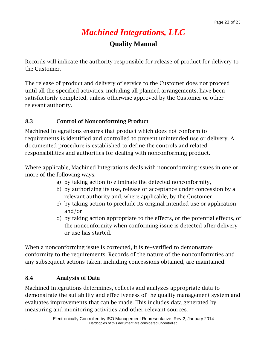#### **Quality Manual**

Records will indicate the authority responsible for release of product for delivery to the Customer.

The release of product and delivery of service to the Customer does not proceed until all the specified activities, including all planned arrangements, have been satisfactorily completed, unless otherwise approved by the Customer or other relevant authority.

#### **8.3 Control of Nonconforming Product**

Machined Integrations ensures that product which does not conform to requirements is identified and controlled to prevent unintended use or delivery. A documented procedure is established to define the controls and related responsibilities and authorities for dealing with nonconforming product.

Where applicable, Machined Integrations deals with nonconforming issues in one or more of the following ways:

- a) by taking action to eliminate the detected nonconformity,
- b) by authorizing its use, release or acceptance under concession by a relevant authority and, where applicable, by the Customer,
- c) by taking action to preclude its original intended use or application and/or
- d) by taking action appropriate to the effects, or the potential effects, of the nonconformity when conforming issue is detected after delivery or use has started.

When a nonconforming issue is corrected, it is re-verified to demonstrate conformity to the requirements. Records of the nature of the nonconformities and any subsequent actions taken, including concessions obtained, are maintained.

#### **8.4 Analysis of Data**

.

Machined Integrations determines, collects and analyzes appropriate data to demonstrate the suitability and effectiveness of the quality management system and evaluates improvements that can be made. This includes data generated by measuring and monitoring activities and other relevant sources.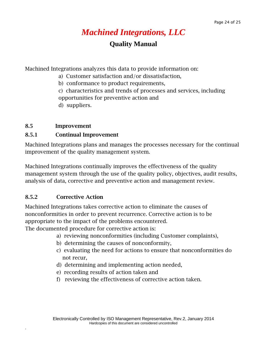#### **Quality Manual**

Machined Integrations analyzes this data to provide information on:

- a) Customer satisfaction and/or dissatisfaction,
- b) conformance to product requirements,

c) characteristics and trends of processes and services, including opportunities for preventive action and

d) suppliers.

#### **8.5 Improvement**

#### **8.5.1 Continual Improvement**

Machined Integrations plans and manages the processes necessary for the continual improvement of the quality management system.

Machined Integrations continually improves the effectiveness of the quality management system through the use of the quality policy, objectives, audit results, analysis of data, corrective and preventive action and management review.

#### **8.5.2 Corrective Action**

.

Machined Integrations takes corrective action to eliminate the causes of nonconformities in order to prevent recurrence. Corrective action is to be appropriate to the impact of the problems encountered.

The documented procedure for corrective action is:

- a) reviewing nonconformities (including Customer complaints),
- b) determining the causes of nonconformity,
- c) evaluating the need for actions to ensure that nonconformities do not recur,
- d) determining and implementing action needed,
- e) recording results of action taken and
- f) reviewing the effectiveness of corrective action taken.